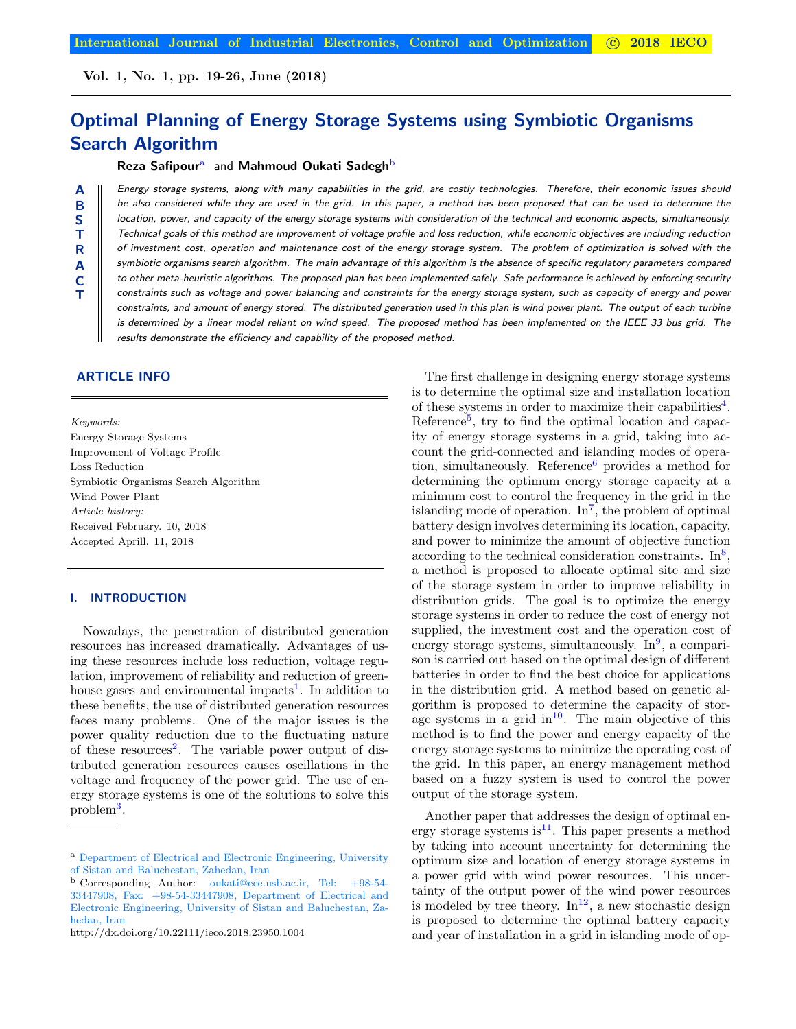Vol. 1, No. 1, pp. 19-26, June (2018)

# Optimal Planning of Energy Storage Systems using Symbiotic Organisms Search Algorithm

#### Reza Safipour<sup>a</sup> and Mahmoud Oukati Sadegh<sup>b</sup>

A B S T R A C T

Energy storage systems, along with many capabilities in the grid, are costly technologies. Therefore, their economic issues should be also considered while they are used in the grid. In this paper, a method has been proposed that can be used to determine the location, power, and capacity of the energy storage systems with consideration of the technical and economic aspects, simultaneously. Technical goals of this method are improvement of voltage profile and loss reduction, while economic objectives are including reduction of investment cost, operation and maintenance cost of the energy storage system. The problem of optimization is solved with the symbiotic organisms search algorithm. The main advantage of this algorithm is the absence of specific regulatory parameters compared to other meta-heuristic algorithms. The proposed plan has been implemented safely. Safe performance is achieved by enforcing security constraints such as voltage and power balancing and constraints for the energy storage system, such as capacity of energy and power constraints, and amount of energy stored. The distributed generation used in this plan is wind power plant. The output of each turbine is determined by a linear model reliant on wind speed. The proposed method has been implemented on the IEEE 33 bus grid. The results demonstrate the efficiency and capability of the proposed method.

# ARTICLE INFO

Keywords: Energy Storage Systems Improvement of Voltage Profile Loss Reduction Symbiotic Organisms Search Algorithm Wind Power Plant Article history: Received February. 10, 2018 Accepted Aprill. 11, 2018

# I. INTRODUCTION

Nowadays, the penetration of distributed generation resources has increased dramatically. Advantages of using these resources include loss reduction, voltage regulation, improvement of reliability and reduction of green-house gases and environmental impacts<sup>[1](#page-5-0)</sup>. In addition to these benefits, the use of distributed generation resources faces many problems. One of the major issues is the power quality reduction due to the fluctuating nature of these resources<sup>[2](#page-5-1)</sup>. The variable power output of distributed generation resources causes oscillations in the voltage and frequency of the power grid. The use of energy storage systems is one of the solutions to solve this problem[3](#page-5-2) .

http://dx.doi.org/10.22111/ieco.2018.23950.1004

The first challenge in designing energy storage systems is to determine the optimal size and installation location of these systems in order to maximize their capabilities<sup>[4](#page-5-3)</sup>. Reference<sup>[5](#page-5-4)</sup>, try to find the optimal location and capacity of energy storage systems in a grid, taking into account the grid-connected and islanding modes of opera-tion, simultaneously. Reference<sup>[6](#page-5-5)</sup> provides a method for determining the optimum energy storage capacity at a minimum cost to control the frequency in the grid in the islanding mode of operation.  $\text{In}^7$  $\text{In}^7$ , the problem of optimal battery design involves determining its location, capacity, and power to minimize the amount of objective function according to the technical consideration constraints.  $\text{In}^8$  $\text{In}^8$ , a method is proposed to allocate optimal site and size of the storage system in order to improve reliability in distribution grids. The goal is to optimize the energy storage systems in order to reduce the cost of energy not supplied, the investment cost and the operation cost of energy storage systems, simultaneously. In<sup>[9](#page-7-1)</sup>, a comparison is carried out based on the optimal design of different batteries in order to find the best choice for applications in the distribution grid. A method based on genetic algorithm is proposed to determine the capacity of storage systems in a grid in $10$ . The main objective of this method is to find the power and energy capacity of the energy storage systems to minimize the operating cost of the grid. In this paper, an energy management method based on a fuzzy system is used to control the power output of the storage system.

Another paper that addresses the design of optimal en-ergy storage systems is<sup>[11](#page-7-3)</sup>. This paper presents a method by taking into account uncertainty for determining the optimum size and location of energy storage systems in a power grid with wind power resources. This uncertainty of the output power of the wind power resources is modeled by tree theory.  $\text{In}^{12}$  $\text{In}^{12}$  $\text{In}^{12}$ , a new stochastic design is proposed to determine the optimal battery capacity and year of installation in a grid in islanding mode of op-

<span id="page-0-0"></span><sup>&</sup>lt;sup>a</sup> Department of Electrical and Electronic Engineering, University of Sistan and Baluchestan, Zahedan, Iran

<span id="page-0-1"></span>b)Corresponding Author: oukati@ece.usb.ac.ir, Tel: +98-54- 33447908, Fax: +98-54-33447908, Department of Electrical and Electronic Engineering, University of Sistan and Baluchestan, Zahedan, Iran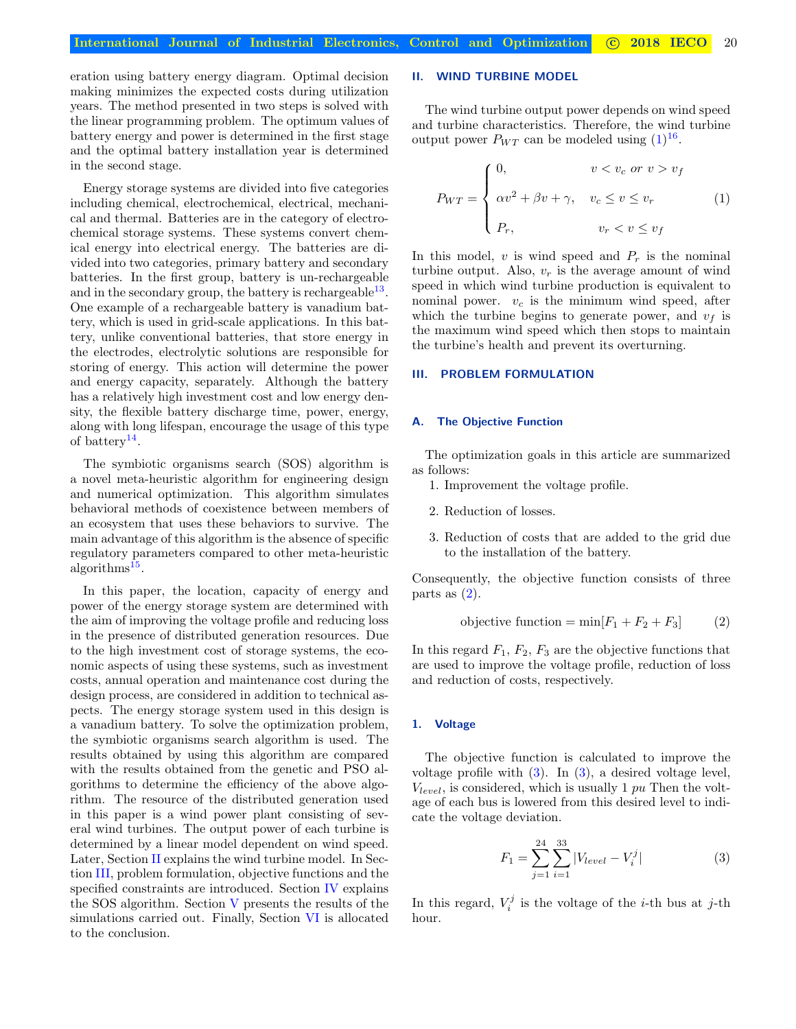eration using battery energy diagram. Optimal decision making minimizes the expected costs during utilization years. The method presented in two steps is solved with the linear programming problem. The optimum values of battery energy and power is determined in the first stage and the optimal battery installation year is determined in the second stage.

Energy storage systems are divided into five categories including chemical, electrochemical, electrical, mechanical and thermal. Batteries are in the category of electrochemical storage systems. These systems convert chemical energy into electrical energy. The batteries are divided into two categories, primary battery and secondary batteries. In the first group, battery is un-rechargeable and in the secondary group, the battery is rechargeable  $13$ . One example of a rechargeable battery is vanadium battery, which is used in grid-scale applications. In this battery, unlike conventional batteries, that store energy in the electrodes, electrolytic solutions are responsible for storing of energy. This action will determine the power and energy capacity, separately. Although the battery has a relatively high investment cost and low energy density, the flexible battery discharge time, power, energy, along with long lifespan, encourage the usage of this type of battery<sup>[14](#page-7-6)</sup>.

The symbiotic organisms search (SOS) algorithm is a novel meta-heuristic algorithm for engineering design and numerical optimization. This algorithm simulates behavioral methods of coexistence between members of an ecosystem that uses these behaviors to survive. The main advantage of this algorithm is the absence of specific regulatory parameters compared to other meta-heuristic algorithms<sup>[15](#page-7-7)</sup>.

In this paper, the location, capacity of energy and power of the energy storage system are determined with the aim of improving the voltage profile and reducing loss in the presence of distributed generation resources. Due to the high investment cost of storage systems, the economic aspects of using these systems, such as investment costs, annual operation and maintenance cost during the design process, are considered in addition to technical aspects. The energy storage system used in this design is a vanadium battery. To solve the optimization problem, the symbiotic organisms search algorithm is used. The results obtained by using this algorithm are compared with the results obtained from the genetic and PSO algorithms to determine the efficiency of the above algorithm. The resource of the distributed generation used in this paper is a wind power plant consisting of several wind turbines. The output power of each turbine is determined by a linear model dependent on wind speed. Later, Section [II](#page-1-0) explains the wind turbine model. In Section [III,](#page-1-1) problem formulation, objective functions and the specified constraints are introduced. Section [IV](#page-2-0) explains the SOS algorithm. Section [V](#page-3-0) presents the results of the simulations carried out. Finally, Section [VI](#page-5-7) is allocated to the conclusion.

# <span id="page-1-0"></span>II. WIND TURBINE MODEL

The wind turbine output power depends on wind speed and turbine characteristics. Therefore, the wind turbine output power  $P_{WT}$  can be modeled using  $(1)^{16}$  $(1)^{16}$  $(1)^{16}$  $(1)^{16}$ .

<span id="page-1-2"></span>
$$
P_{WT} = \begin{cases} 0, & v < v_c \text{ or } v > v_f \\ \alpha v^2 + \beta v + \gamma, & v_c \le v \le v_r \\ P_r, & v_r < v \le v_f \end{cases}
$$
 (1)

In this model,  $v$  is wind speed and  $P_r$  is the nominal turbine output. Also,  $v_r$  is the average amount of wind speed in which wind turbine production is equivalent to nominal power.  $v_c$  is the minimum wind speed, after which the turbine begins to generate power, and  $v_f$  is the maximum wind speed which then stops to maintain the turbine's health and prevent its overturning.

## <span id="page-1-1"></span>III. PROBLEM FORMULATION

#### A. The Objective Function

The optimization goals in this article are summarized as follows:

- 1. Improvement the voltage profile.
- 2. Reduction of losses.
- 3. Reduction of costs that are added to the grid due to the installation of the battery.

Consequently, the objective function consists of three parts as  $(2)$ .

<span id="page-1-3"></span>objective function = min
$$
[F_1 + F_2 + F_3]
$$
 (2)

In this regard  $F_1, F_2, F_3$  are the objective functions that are used to improve the voltage profile, reduction of loss and reduction of costs, respectively.

## 1. Voltage

The objective function is calculated to improve the voltage profile with [\(3\)](#page-1-4). In [\(3\)](#page-1-4), a desired voltage level,  $V_{level}$ , is considered, which is usually 1 pu Then the voltage of each bus is lowered from this desired level to indicate the voltage deviation.

<span id="page-1-4"></span>
$$
F_1 = \sum_{j=1}^{24} \sum_{i=1}^{33} |V_{level} - V_i^j|
$$
 (3)

In this regard,  $V_i^j$  is the voltage of the *i*-th bus at *j*-th hour.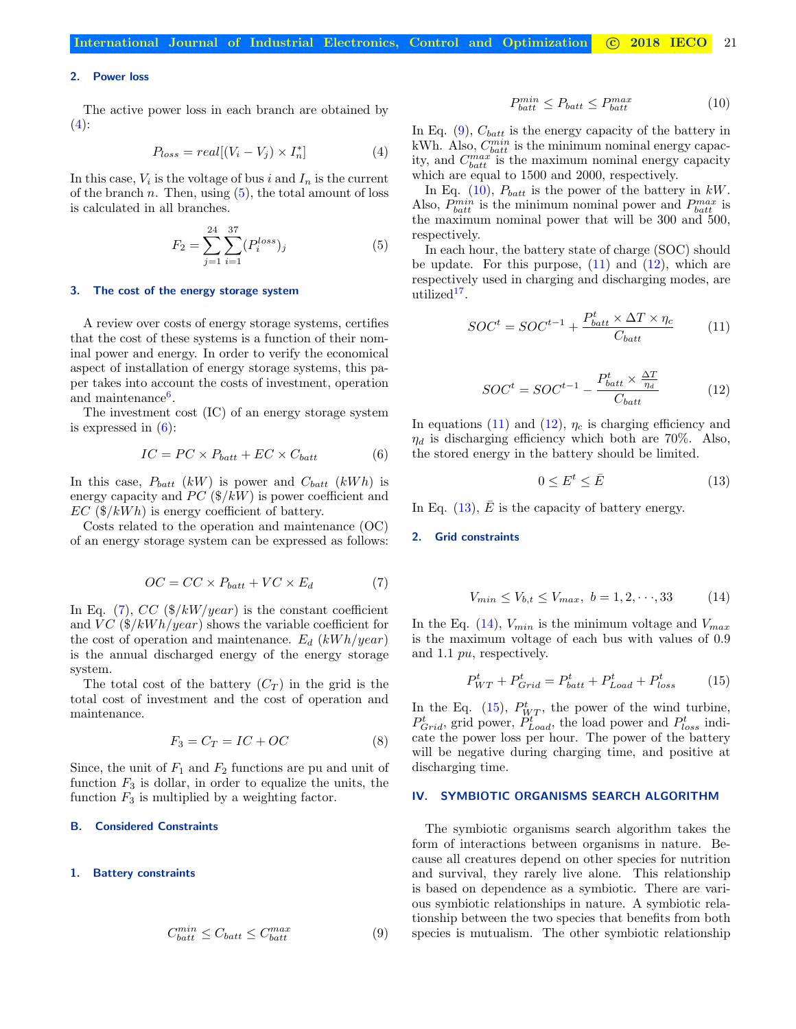# 2. Power loss

<span id="page-2-1"></span>The active power loss in each branch are obtained by  $(4)$ :

$$
P_{loss} = real[(V_i - V_j) \times I_n^*]
$$
 (4)

In this case,  $V_i$  is the voltage of bus i and  $I_n$  is the current of the branch n. Then, using  $(5)$ , the total amount of loss is calculated in all branches.

<span id="page-2-2"></span>
$$
F_2 = \sum_{j=1}^{24} \sum_{i=1}^{37} (P_i^{loss})_j
$$
 (5)

## 3. The cost of the energy storage system

A review over costs of energy storage systems, certifies that the cost of these systems is a function of their nominal power and energy. In order to verify the economical aspect of installation of energy storage systems, this paper takes into account the costs of investment, operation and maintenance<sup>[6](#page-5-5)</sup>.

The investment cost (IC) of an energy storage system is expressed in [\(6\)](#page-2-3):

<span id="page-2-3"></span>
$$
IC = PC \times P_{batt} + EC \times C_{batt} \tag{6}
$$

In this case,  $P_{batt}$  (kW) is power and  $C_{batt}$  (kWh) is energy capacity and PC  $(\frac{1}{8}{\mu}W)$  is power coefficient and  $EC$  (\$/kWh) is energy coefficient of battery.

<span id="page-2-4"></span>Costs related to the operation and maintenance (OC) of an energy storage system can be expressed as follows:

$$
OC = CC \times P_{batt} + VC \times E_d \tag{7}
$$

In Eq. [\(7\)](#page-2-4),  $CC$  (\$/kW/year) is the constant coefficient and  $VC$  (\$/kWh/year) shows the variable coefficient for the cost of operation and maintenance.  $E_d$  (kWh/year) is the annual discharged energy of the energy storage system.

The total cost of the battery  $(C_T)$  in the grid is the total cost of investment and the cost of operation and maintenance.

$$
F_3 = C_T = IC + OC \tag{8}
$$

Since, the unit of  $F_1$  and  $F_2$  functions are pu and unit of function  $F_3$  is dollar, in order to equalize the units, the function  $F_3$  is multiplied by a weighting factor.

## B. Considered Constraints

#### <span id="page-2-5"></span>1. Battery constraints

$$
C_{batt}^{min} \le C_{batt} \le C_{batt}^{max} \tag{9}
$$

$$
P_{batt}^{min} \le P_{batt} \le P_{batt}^{max} \tag{10}
$$

<span id="page-2-6"></span>In Eq.  $(9)$ ,  $C_{batt}$  is the energy capacity of the battery in kWh. Also,  $C_{batt}^{min}$  is the minimum nominal energy capacity, and  $C_{batt}^{max}$  is the maximum nominal energy capacity which are equal to 1500 and 2000, respectively.

P

In Eq. [\(10\)](#page-2-6),  $P_{batt}$  is the power of the battery in kW. Also,  $P_{batt}^{min}$  is the minimum nominal power and  $P_{batt}^{max}$  is the maximum nominal power that will be 300 and 500, respectively.

In each hour, the battery state of charge (SOC) should be update. For this purpose,  $(11)$  and  $(12)$ , which are respectively used in charging and discharging modes, are  $utilized<sup>17</sup>$  $utilized<sup>17</sup>$  $utilized<sup>17</sup>$ .

<span id="page-2-8"></span><span id="page-2-7"></span>
$$
SOC^{t} = SOC^{t-1} + \frac{P_{batt}^{t} \times \Delta T \times \eta_{c}}{C_{batt}} \tag{11}
$$

$$
SOC^{t} = SOC^{t-1} - \frac{P_{batt}^{t} \times \frac{\Delta T}{\eta_d}}{C_{batt}} \tag{12}
$$

In equations [\(11\)](#page-2-7) and [\(12\)](#page-2-8),  $\eta_c$  is charging efficiency and  $\eta_d$  is discharging efficiency which both are 70%. Also, the stored energy in the battery should be limited.

<span id="page-2-9"></span>
$$
0 \le E^t \le \bar{E} \tag{13}
$$

In Eq. [\(13\)](#page-2-9),  $\bar{E}$  is the capacity of battery energy.

#### <span id="page-2-10"></span>2. Grid constraints

$$
V_{min} \le V_{b,t} \le V_{max}, \ b = 1, 2, \cdots, 33 \tag{14}
$$

In the Eq. [\(14\)](#page-2-10),  $V_{min}$  is the minimum voltage and  $V_{max}$ is the maximum voltage of each bus with values of 0.9 and 1.1 pu, respectively.

<span id="page-2-11"></span>
$$
P_{WT}^t + P_{Grid}^t = P_{batt}^t + P_{Load}^t + P_{loss}^t \tag{15}
$$

In the Eq. [\(15\)](#page-2-11),  $P_{WT}^t$ , the power of the wind turbine,  $P_{Grid}^{t}$ , grid power,  $\ddot{P}_{Load}^{t}$ , the load power and  $P_{loss}^{t}$  indicate the power loss per hour. The power of the battery will be negative during charging time, and positive at discharging time.

#### <span id="page-2-0"></span>IV. SYMBIOTIC ORGANISMS SEARCH ALGORITHM

The symbiotic organisms search algorithm takes the form of interactions between organisms in nature. Because all creatures depend on other species for nutrition and survival, they rarely live alone. This relationship is based on dependence as a symbiotic. There are various symbiotic relationships in nature. A symbiotic relationship between the two species that benefits from both species is mutualism. The other symbiotic relationship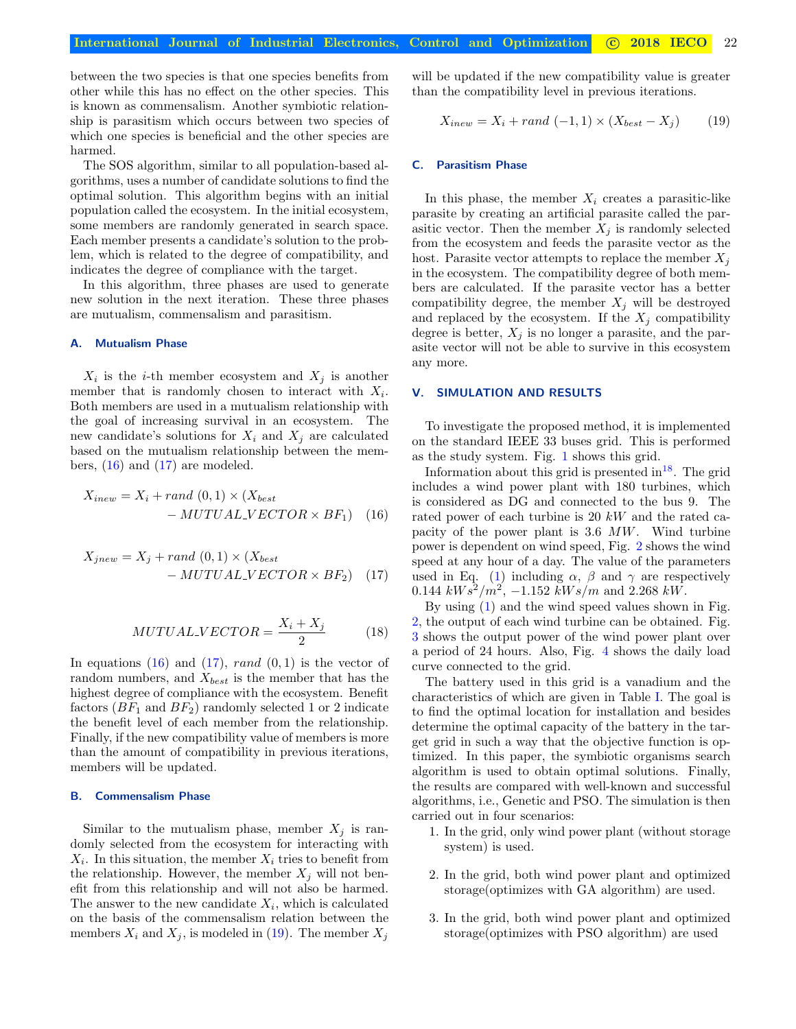between the two species is that one species benefits from other while this has no effect on the other species. This is known as commensalism. Another symbiotic relationship is parasitism which occurs between two species of which one species is beneficial and the other species are harmed.

The SOS algorithm, similar to all population-based algorithms, uses a number of candidate solutions to find the optimal solution. This algorithm begins with an initial population called the ecosystem. In the initial ecosystem, some members are randomly generated in search space. Each member presents a candidate's solution to the problem, which is related to the degree of compatibility, and indicates the degree of compliance with the target.

In this algorithm, three phases are used to generate new solution in the next iteration. These three phases are mutualism, commensalism and parasitism.

# A. Mutualism Phase

 $X_i$  is the *i*-th member ecosystem and  $X_j$  is another member that is randomly chosen to interact with  $X_i$ . Both members are used in a mutualism relationship with the goal of increasing survival in an ecosystem. The new candidate's solutions for  $X_i$  and  $X_j$  are calculated based on the mutualism relationship between the members,  $(16)$  and  $(17)$  are modeled.

$$
X_{inew} = X_i + rand(0,1) \times (X_{best}
$$

$$
- MUTUALVECTOR \times BF_1) \quad (16)
$$

$$
X_{jnew} = X_j + rand(0,1) \times (X_{best}
$$

$$
- MUTUALVECTOR \times BF_2) \quad (17)
$$

$$
MUTUAL\_VECTOR = \frac{X_i + X_j}{2} \tag{18}
$$

In equations  $(16)$  and  $(17)$ , rand  $(0, 1)$  is the vector of random numbers, and  $X_{best}$  is the member that has the highest degree of compliance with the ecosystem. Benefit factors  $(BF_1 \text{ and } BF_2)$  randomly selected 1 or 2 indicate the benefit level of each member from the relationship. Finally, if the new compatibility value of members is more than the amount of compatibility in previous iterations, members will be updated.

#### B. Commensalism Phase

Similar to the mutualism phase, member  $X_j$  is randomly selected from the ecosystem for interacting with  $X_i$ . In this situation, the member  $X_i$  tries to benefit from the relationship. However, the member  $X_i$  will not benefit from this relationship and will not also be harmed. The answer to the new candidate  $X_i$ , which is calculated on the basis of the commensalism relation between the members  $X_i$  and  $X_j$ , is modeled in [\(19\)](#page-3-3). The member  $X_j$ 

will be updated if the new compatibility value is greater than the compatibility level in previous iterations.

<span id="page-3-3"></span>
$$
X_{inew} = X_i + rand(-1,1) \times (X_{best} - X_j)
$$
 (19)

# C. Parasitism Phase

In this phase, the member  $X_i$  creates a parasitic-like parasite by creating an artificial parasite called the parasitic vector. Then the member  $X_j$  is randomly selected from the ecosystem and feeds the parasite vector as the host. Parasite vector attempts to replace the member  $X_i$ in the ecosystem. The compatibility degree of both members are calculated. If the parasite vector has a better compatibility degree, the member  $X_j$  will be destroyed and replaced by the ecosystem. If the  $X_i$  compatibility degree is better,  $X_j$  is no longer a parasite, and the parasite vector will not be able to survive in this ecosystem any more.

# <span id="page-3-0"></span>V. SIMULATION AND RESULTS

To investigate the proposed method, it is implemented on the standard IEEE 33 buses grid. This is performed as the study system. Fig. [1](#page-4-0) shows this grid.

<span id="page-3-1"></span>Information about this grid is presented in  $18$ . The grid includes a wind power plant with 180 turbines, which is considered as DG and connected to the bus 9. The rated power of each turbine is 20 kW and the rated capacity of the power plant is 3.6 MW. Wind turbine power is dependent on wind speed, Fig. [2](#page-4-1) shows the wind speed at any hour of a day. The value of the parameters used in Eq. [\(1\)](#page-1-2) including  $\alpha$ ,  $\beta$  and  $\gamma$  are respectively 0.144  $kWs^2/m^2$ , -1.152  $kWs/m$  and 2.268  $kW$ .

<span id="page-3-2"></span>By using [\(1\)](#page-1-2) and the wind speed values shown in Fig. [2,](#page-4-1) the output of each wind turbine can be obtained. Fig. [3](#page-4-2) shows the output power of the wind power plant over a period of 24 hours. Also, Fig. [4](#page-4-3) shows the daily load curve connected to the grid.

The battery used in this grid is a vanadium and the characteristics of which are given in Table [I.](#page-4-4) The goal is to find the optimal location for installation and besides determine the optimal capacity of the battery in the target grid in such a way that the objective function is optimized. In this paper, the symbiotic organisms search algorithm is used to obtain optimal solutions. Finally, the results are compared with well-known and successful algorithms, i.e., Genetic and PSO. The simulation is then carried out in four scenarios:

- 1. In the grid, only wind power plant (without storage system) is used.
- 2. In the grid, both wind power plant and optimized storage(optimizes with GA algorithm) are used.
- 3. In the grid, both wind power plant and optimized storage(optimizes with PSO algorithm) are used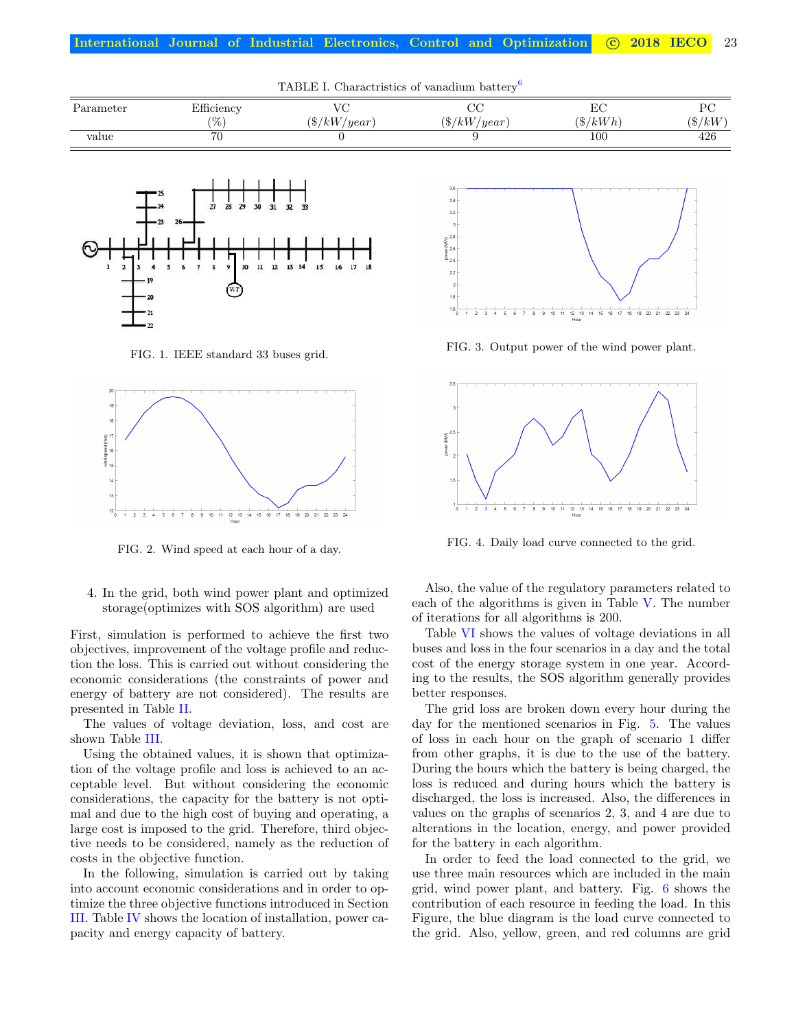| Tribull 1. Charactristics of vanadium battery |                   |                |                |                  |           |
|-----------------------------------------------|-------------------|----------------|----------------|------------------|-----------|
| Parameter                                     | Efficiency<br>'%` | $(\$/kW/year)$ | $(\$/kW/year)$ | LU<br>$(\$/kWh)$ | $(\$/kW)$ |
| value                                         | 76                |                |                | 100              | 426       |

<span id="page-4-4"></span>TABLE I. Charactristics of vanadium battery[6](#page-5-5)



<span id="page-4-0"></span>FIG. 1. IEEE standard 33 buses grid.



<span id="page-4-1"></span>FIG. 2. Wind speed at each hour of a day.

4. In the grid, both wind power plant and optimized storage(optimizes with SOS algorithm) are used

First, simulation is performed to achieve the first two objectives, improvement of the voltage profile and reduction the loss. This is carried out without considering the economic considerations (the constraints of power and energy of battery are not considered). The results are presented in Table [II.](#page-5-8)

The values of voltage deviation, loss, and cost are shown Table [III.](#page-5-9)

Using the obtained values, it is shown that optimization of the voltage profile and loss is achieved to an acceptable level. But without considering the economic considerations, the capacity for the battery is not optimal and due to the high cost of buying and operating, a large cost is imposed to the grid. Therefore, third objective needs to be considered, namely as the reduction of costs in the objective function.

In the following, simulation is carried out by taking into account economic considerations and in order to optimize the three objective functions introduced in Section [III.](#page-1-1) Table [IV](#page-5-10) shows the location of installation, power capacity and energy capacity of battery.



<span id="page-4-2"></span>FIG. 3. Output power of the wind power plant.



<span id="page-4-3"></span>FIG. 4. Daily load curve connected to the grid.

Also, the value of the regulatory parameters related to each of the algorithms is given in Table [V.](#page-5-11) The number of iterations for all algorithms is 200.

Table [VI](#page-5-12) shows the values of voltage deviations in all buses and loss in the four scenarios in a day and the total cost of the energy storage system in one year. According to the results, the SOS algorithm generally provides better responses.

The grid loss are broken down every hour during the day for the mentioned scenarios in Fig. [5.](#page-6-0) The values of loss in each hour on the graph of scenario 1 differ from other graphs, it is due to the use of the battery. During the hours which the battery is being charged, the loss is reduced and during hours which the battery is discharged, the loss is increased. Also, the differences in values on the graphs of scenarios 2, 3, and 4 are due to alterations in the location, energy, and power provided for the battery in each algorithm.

In order to feed the load connected to the grid, we use three main resources which are included in the main grid, wind power plant, and battery. Fig. [6](#page-6-1) shows the contribution of each resource in feeding the load. In this Figure, the blue diagram is the load curve connected to the grid. Also, yellow, green, and red columns are grid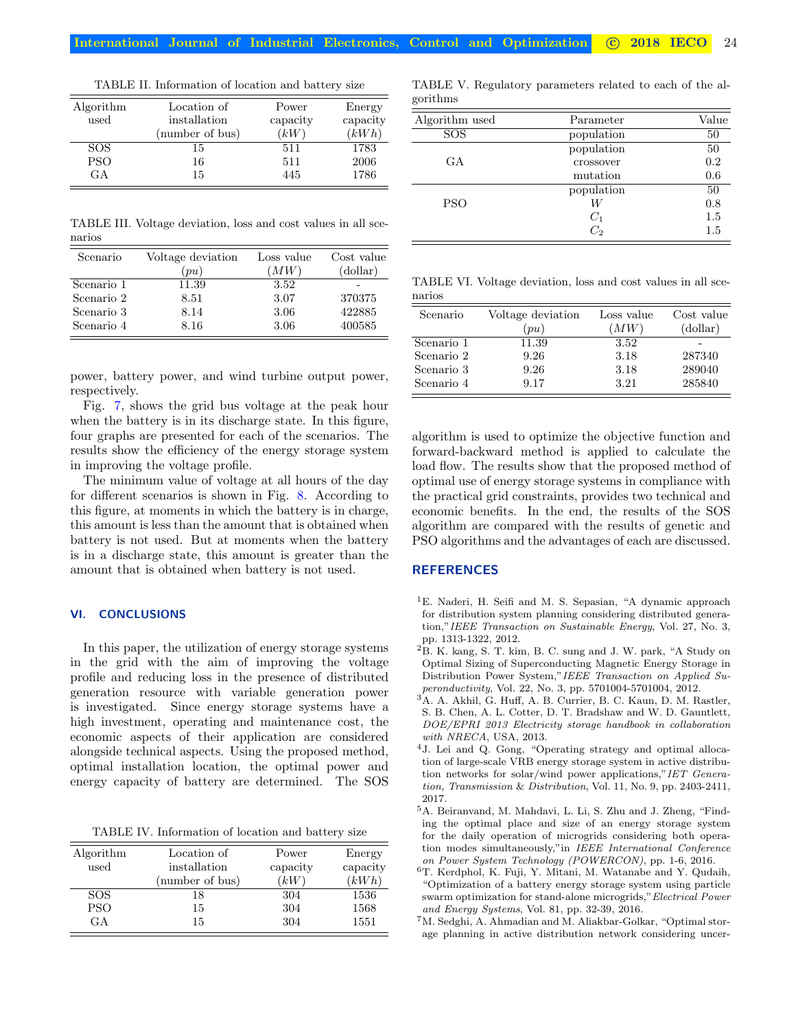| Algorithm  | Location of     | Power    | Energy   |
|------------|-----------------|----------|----------|
| used       | installation    | capacity | capacity |
|            | (number of bus) | 'kW      | (kWh)    |
| SOS.       | 15              | 511      | 1783     |
| <b>PSO</b> | 16              | 511      | 2006     |
| G A        | 15              | 445      | 1786     |

<span id="page-5-8"></span>TABLE II. Information of location and battery size

<span id="page-5-9"></span>TABLE III. Voltage deviation, loss and cost values in all scenarios

| Scenario   | Voltage deviation | Loss value | Cost value |
|------------|-------------------|------------|------------|
|            | (pu)              | $\hat{u}$  | (dollar)   |
| Scenario 1 | 11.39             | 3.52       |            |
| Scenario 2 | 8.51              | 3.07       | 370375     |
| Scenario 3 | 8.14              | 3.06       | 422885     |
| Scenario 4 | 8.16              | 3.06       | 400585     |

power, battery power, and wind turbine output power, respectively.

Fig. [7,](#page-6-2) shows the grid bus voltage at the peak hour when the battery is in its discharge state. In this figure, four graphs are presented for each of the scenarios. The results show the efficiency of the energy storage system in improving the voltage profile.

The minimum value of voltage at all hours of the day for different scenarios is shown in Fig. [8.](#page-6-3) According to this figure, at moments in which the battery is in charge, this amount is less than the amount that is obtained when battery is not used. But at moments when the battery is in a discharge state, this amount is greater than the amount that is obtained when battery is not used.

# <span id="page-5-7"></span>VI. CONCLUSIONS

In this paper, the utilization of energy storage systems in the grid with the aim of improving the voltage profile and reducing loss in the presence of distributed generation resource with variable generation power is investigated. Since energy storage systems have a high investment, operating and maintenance cost, the economic aspects of their application are considered alongside technical aspects. Using the proposed method, optimal installation location, the optimal power and energy capacity of battery are determined. The SOS

<span id="page-5-10"></span>TABLE IV. Information of location and battery size

| Algorithm  | Location of     | Power    | Energy   |
|------------|-----------------|----------|----------|
| used       | installation    | capacity | capacity |
|            | (number of bus) | (kW)     | (kWh)    |
| <b>SOS</b> | 18              | 304      | 1536     |
| <b>PSO</b> | 15              | 304      | 1568     |
| G A        | 15              | 304      | 1551     |

<span id="page-5-11"></span>TABLE V. Regulatory parameters related to each of the algorithms

| Algorithm used | Parameter  | Value |
|----------------|------------|-------|
| <b>SOS</b>     | population | 50    |
|                | population | 50    |
| GA.            | crossover  | 0.2   |
|                | mutation   | 0.6   |
|                | population | 50    |
| <b>PSO</b>     | W          | 0.8   |
|                | $C_1$      | 1.5   |
|                | C,         | 1.5   |
|                |            |       |

<span id="page-5-12"></span>TABLE VI. Voltage deviation, loss and cost values in all scenarios

| Scenario   | Voltage deviation | Loss value | Cost value |
|------------|-------------------|------------|------------|
|            | (pu)              | (MW)       | (dollar)   |
| Scenario 1 | 11.39             | 3.52       |            |
| Scenario 2 | 9.26              | 3.18       | 287340     |
| Scenario 3 | 9.26              | 3.18       | 289040     |
| Scenario 4 | 9.17              | 3.21       | 285840     |

algorithm is used to optimize the objective function and forward-backward method is applied to calculate the load flow. The results show that the proposed method of optimal use of energy storage systems in compliance with the practical grid constraints, provides two technical and economic benefits. In the end, the results of the SOS algorithm are compared with the results of genetic and PSO algorithms and the advantages of each are discussed.

## **REFERENCES**

- <span id="page-5-0"></span><sup>1</sup>E. Naderi, H. Seifi and M. S. Sepasian, "A dynamic approach for distribution system planning considering distributed generation,"IEEE Transaction on Sustainable Energy, Vol. 27, No. 3, pp. 1313-1322, 2012.
- <span id="page-5-1"></span><sup>2</sup>B. K. kang, S. T. kim, B. C. sung and J. W. park, "A Study on Optimal Sizing of Superconducting Magnetic Energy Storage in Distribution Power System,"IEEE Transaction on Applied Superonductivity, Vol. 22, No. 3, pp. 5701004-5701004, 2012.
- <span id="page-5-2"></span><sup>3</sup>A. A. Akhil, G. Huff, A. B. Currier, B. C. Kaun, D. M. Rastler, S. B. Chen, A. L. Cotter, D. T. Bradshaw and W. D. Gauntlett, DOE/EPRI 2013 Electricity storage handbook in collaboration with NRECA, USA, 2013.
- <span id="page-5-3"></span><sup>4</sup>J. Lei and Q. Gong, "Operating strategy and optimal allocation of large-scale VRB energy storage system in active distribution networks for solar/wind power applications,"IET Generation, Transmission & Distribution, Vol. 11, No. 9, pp. 2403-2411, 2017.
- <span id="page-5-4"></span> $^{5}\mathrm{A}.$  Beiranvand, M. Mahdavi, L. Li, S. Zhu and J. Zheng, "Finding the optimal place and size of an energy storage system for the daily operation of microgrids considering both operation modes simultaneously,"in IEEE International Conference on Power System Technology (POWERCON), pp. 1-6, 2016.
- <span id="page-5-5"></span> $\rm^6T.$  Kerdphol, K. Fuji, Y. Mitani, M. Watanabe and Y. Qudaih, "Optimization of a battery energy storage system using particle swarm optimization for stand-alone microgrids,"Electrical Power and Energy Systems, Vol. 81, pp. 32-39, 2016.
- <span id="page-5-6"></span><sup>7</sup>M. Sedghi, A. Ahmadian and M. Aliakbar-Golkar, "Optimal storage planning in active distribution network considering uncer-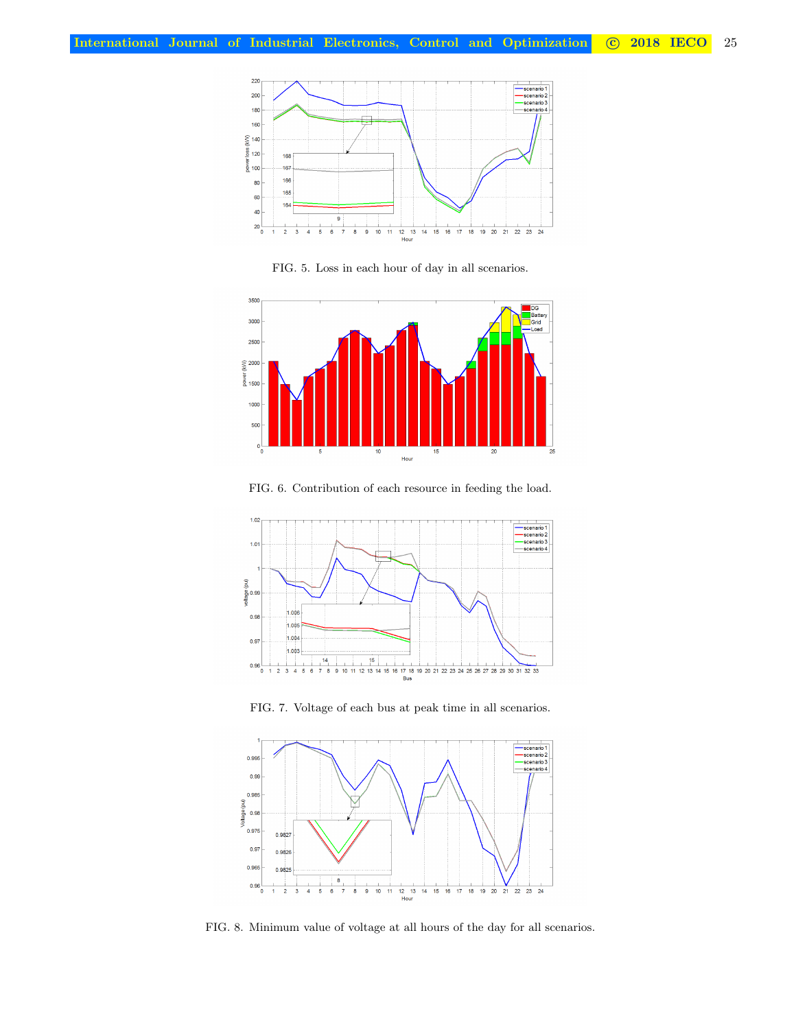

<span id="page-6-0"></span>FIG. 5. Loss in each hour of day in all scenarios.



<span id="page-6-1"></span>FIG. 6. Contribution of each resource in feeding the load.



<span id="page-6-2"></span>FIG. 7. Voltage of each bus at peak time in all scenarios.



<span id="page-6-3"></span>FIG. 8. Minimum value of voltage at all hours of the day for all scenarios.